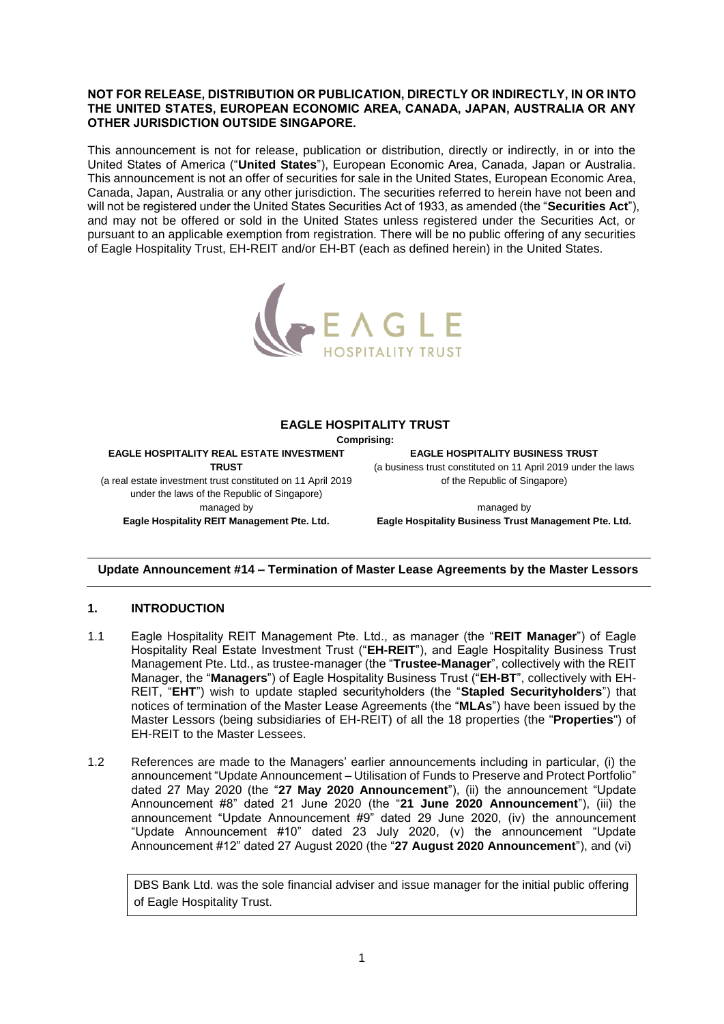#### **NOT FOR RELEASE, DISTRIBUTION OR PUBLICATION, DIRECTLY OR INDIRECTLY, IN OR INTO THE UNITED STATES, EUROPEAN ECONOMIC AREA, CANADA, JAPAN, AUSTRALIA OR ANY OTHER JURISDICTION OUTSIDE SINGAPORE.**

This announcement is not for release, publication or distribution, directly or indirectly, in or into the United States of America ("**United States**"), European Economic Area, Canada, Japan or Australia. This announcement is not an offer of securities for sale in the United States, European Economic Area, Canada, Japan, Australia or any other jurisdiction. The securities referred to herein have not been and will not be registered under the United States Securities Act of 1933, as amended (the "**Securities Act**"), and may not be offered or sold in the United States unless registered under the Securities Act, or pursuant to an applicable exemption from registration. There will be no public offering of any securities of Eagle Hospitality Trust, EH-REIT and/or EH-BT (each as defined herein) in the United States.



### **EAGLE HOSPITALITY TRUST**

**Comprising:**

**EAGLE HOSPITALITY REAL ESTATE INVESTMENT TRUST** (a real estate investment trust constituted on 11 April 2019

under the laws of the Republic of Singapore) managed by **Eagle Hospitality REIT Management Pte. Ltd.**

**EAGLE HOSPITALITY BUSINESS TRUST** (a business trust constituted on 11 April 2019 under the laws of the Republic of Singapore)

managed by **Eagle Hospitality Business Trust Management Pte. Ltd.**

## **Update Announcement #14 – Termination of Master Lease Agreements by the Master Lessors**

## **1. INTRODUCTION**

- 1.1 Eagle Hospitality REIT Management Pte. Ltd., as manager (the "**REIT Manager**") of Eagle Hospitality Real Estate Investment Trust ("**EH-REIT**"), and Eagle Hospitality Business Trust Management Pte. Ltd., as trustee-manager (the "**Trustee-Manager**", collectively with the REIT Manager, the "**Managers**") of Eagle Hospitality Business Trust ("**EH-BT**", collectively with EH-REIT, "**EHT**") wish to update stapled securityholders (the "**Stapled Securityholders**") that notices of termination of the Master Lease Agreements (the "**MLAs**") have been issued by the Master Lessors (being subsidiaries of EH-REIT) of all the 18 properties (the "**Properties**") of EH-REIT to the Master Lessees.
- 1.2 References are made to the Managers' earlier announcements including in particular, (i) the announcement "Update Announcement – Utilisation of Funds to Preserve and Protect Portfolio" dated 27 May 2020 (the "**27 May 2020 Announcement**"), (ii) the announcement "Update Announcement #8" dated 21 June 2020 (the "**21 June 2020 Announcement**"), (iii) the announcement "Update Announcement #9" dated 29 June 2020, (iv) the announcement "Update Announcement #10" dated 23 July 2020, (v) the announcement "Update Announcement #12" dated 27 August 2020 (the "**27 August 2020 Announcement**"), and (vi)

DBS Bank Ltd. was the sole financial adviser and issue manager for the initial public offering of Eagle Hospitality Trust.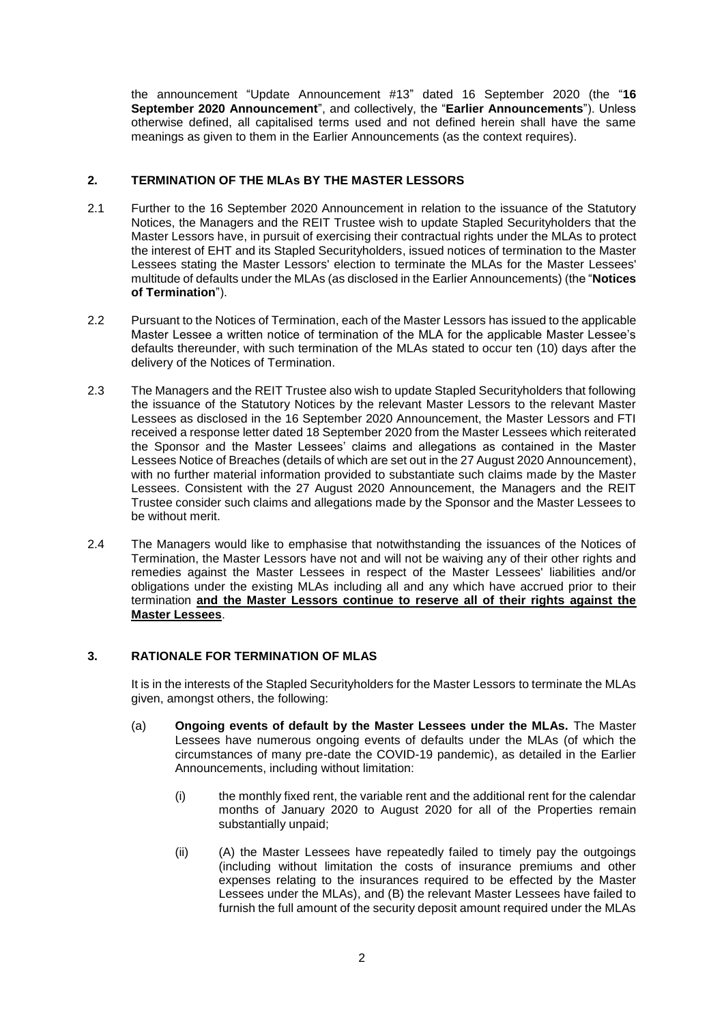the announcement "Update Announcement #13" dated 16 September 2020 (the "**16 September 2020 Announcement**", and collectively, the "**Earlier Announcements**"). Unless otherwise defined, all capitalised terms used and not defined herein shall have the same meanings as given to them in the Earlier Announcements (as the context requires).

# **2. TERMINATION OF THE MLAs BY THE MASTER LESSORS**

- 2.1 Further to the 16 September 2020 Announcement in relation to the issuance of the Statutory Notices, the Managers and the REIT Trustee wish to update Stapled Securityholders that the Master Lessors have, in pursuit of exercising their contractual rights under the MLAs to protect the interest of EHT and its Stapled Securityholders, issued notices of termination to the Master Lessees stating the Master Lessors' election to terminate the MLAs for the Master Lessees' multitude of defaults under the MLAs (as disclosed in the Earlier Announcements) (the "**Notices of Termination**").
- 2.2 Pursuant to the Notices of Termination, each of the Master Lessors has issued to the applicable Master Lessee a written notice of termination of the MLA for the applicable Master Lessee's defaults thereunder, with such termination of the MLAs stated to occur ten (10) days after the delivery of the Notices of Termination.
- 2.3 The Managers and the REIT Trustee also wish to update Stapled Securityholders that following the issuance of the Statutory Notices by the relevant Master Lessors to the relevant Master Lessees as disclosed in the 16 September 2020 Announcement, the Master Lessors and FTI received a response letter dated 18 September 2020 from the Master Lessees which reiterated the Sponsor and the Master Lessees' claims and allegations as contained in the Master Lessees Notice of Breaches (details of which are set out in the 27 August 2020 Announcement), with no further material information provided to substantiate such claims made by the Master Lessees. Consistent with the 27 August 2020 Announcement, the Managers and the REIT Trustee consider such claims and allegations made by the Sponsor and the Master Lessees to be without merit.
- 2.4 The Managers would like to emphasise that notwithstanding the issuances of the Notices of Termination, the Master Lessors have not and will not be waiving any of their other rights and remedies against the Master Lessees in respect of the Master Lessees' liabilities and/or obligations under the existing MLAs including all and any which have accrued prior to their termination **and the Master Lessors continue to reserve all of their rights against the Master Lessees**.

## <span id="page-1-0"></span>**3. RATIONALE FOR TERMINATION OF MLAS**

It is in the interests of the Stapled Securityholders for the Master Lessors to terminate the MLAs given, amongst others, the following:

- (a) **Ongoing events of default by the Master Lessees under the MLAs.** The Master Lessees have numerous ongoing events of defaults under the MLAs (of which the circumstances of many pre-date the COVID-19 pandemic), as detailed in the Earlier Announcements, including without limitation:
	- (i) the monthly fixed rent, the variable rent and the additional rent for the calendar months of January 2020 to August 2020 for all of the Properties remain substantially unpaid;
	- (ii) (A) the Master Lessees have repeatedly failed to timely pay the outgoings (including without limitation the costs of insurance premiums and other expenses relating to the insurances required to be effected by the Master Lessees under the MLAs), and (B) the relevant Master Lessees have failed to furnish the full amount of the security deposit amount required under the MLAs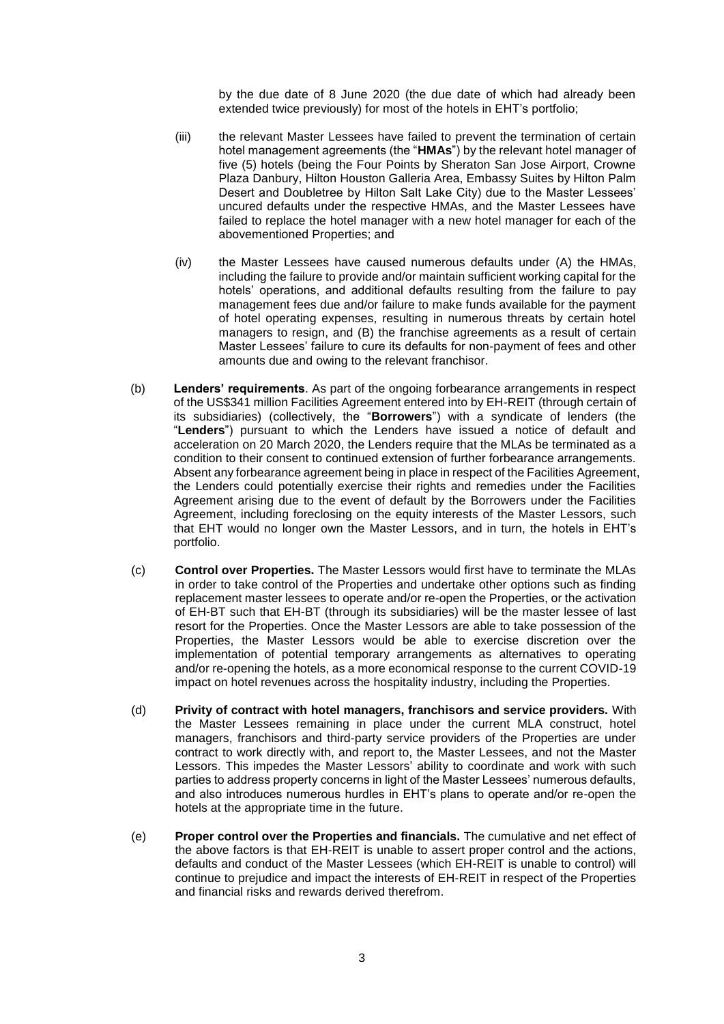by the due date of 8 June 2020 (the due date of which had already been extended twice previously) for most of the hotels in EHT's portfolio;

- (iii) the relevant Master Lessees have failed to prevent the termination of certain hotel management agreements (the "**HMAs**") by the relevant hotel manager of five (5) hotels (being the Four Points by Sheraton San Jose Airport, Crowne Plaza Danbury, Hilton Houston Galleria Area, Embassy Suites by Hilton Palm Desert and Doubletree by Hilton Salt Lake City) due to the Master Lessees' uncured defaults under the respective HMAs, and the Master Lessees have failed to replace the hotel manager with a new hotel manager for each of the abovementioned Properties; and
- (iv) the Master Lessees have caused numerous defaults under (A) the HMAs, including the failure to provide and/or maintain sufficient working capital for the hotels' operations, and additional defaults resulting from the failure to pay management fees due and/or failure to make funds available for the payment of hotel operating expenses, resulting in numerous threats by certain hotel managers to resign, and (B) the franchise agreements as a result of certain Master Lessees' failure to cure its defaults for non-payment of fees and other amounts due and owing to the relevant franchisor.
- (b) **Lenders' requirements**. As part of the ongoing forbearance arrangements in respect of the US\$341 million Facilities Agreement entered into by EH-REIT (through certain of its subsidiaries) (collectively, the "**Borrowers**") with a syndicate of lenders (the "**Lenders**") pursuant to which the Lenders have issued a notice of default and acceleration on 20 March 2020, the Lenders require that the MLAs be terminated as a condition to their consent to continued extension of further forbearance arrangements. Absent any forbearance agreement being in place in respect of the Facilities Agreement, the Lenders could potentially exercise their rights and remedies under the Facilities Agreement arising due to the event of default by the Borrowers under the Facilities Agreement, including foreclosing on the equity interests of the Master Lessors, such that EHT would no longer own the Master Lessors, and in turn, the hotels in EHT's portfolio.
- (c) **Control over Properties.** The Master Lessors would first have to terminate the MLAs in order to take control of the Properties and undertake other options such as finding replacement master lessees to operate and/or re-open the Properties, or the activation of EH-BT such that EH-BT (through its subsidiaries) will be the master lessee of last resort for the Properties. Once the Master Lessors are able to take possession of the Properties, the Master Lessors would be able to exercise discretion over the implementation of potential temporary arrangements as alternatives to operating and/or re-opening the hotels, as a more economical response to the current COVID-19 impact on hotel revenues across the hospitality industry, including the Properties.
- (d) **Privity of contract with hotel managers, franchisors and service providers.** With the Master Lessees remaining in place under the current MLA construct, hotel managers, franchisors and third-party service providers of the Properties are under contract to work directly with, and report to, the Master Lessees, and not the Master Lessors. This impedes the Master Lessors' ability to coordinate and work with such parties to address property concerns in light of the Master Lessees' numerous defaults, and also introduces numerous hurdles in EHT's plans to operate and/or re-open the hotels at the appropriate time in the future.
- (e) **Proper control over the Properties and financials.** The cumulative and net effect of the above factors is that EH-REIT is unable to assert proper control and the actions, defaults and conduct of the Master Lessees (which EH-REIT is unable to control) will continue to prejudice and impact the interests of EH-REIT in respect of the Properties and financial risks and rewards derived therefrom.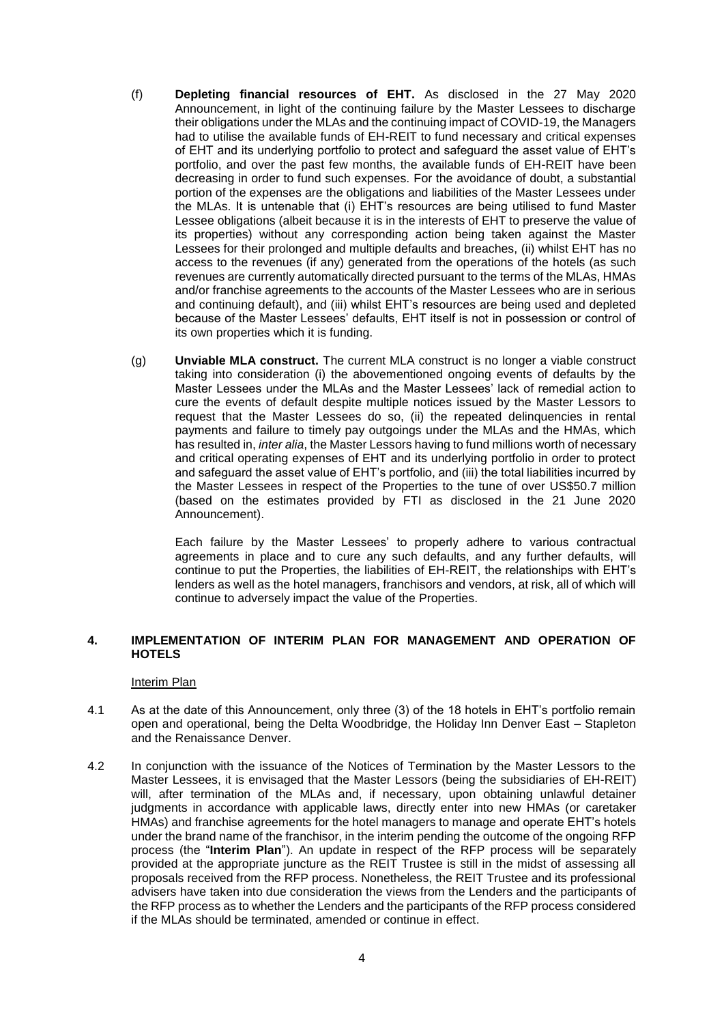- (f) **Depleting financial resources of EHT.** As disclosed in the 27 May 2020 Announcement, in light of the continuing failure by the Master Lessees to discharge their obligations under the MLAs and the continuing impact of COVID-19, the Managers had to utilise the available funds of EH-REIT to fund necessary and critical expenses of EHT and its underlying portfolio to protect and safeguard the asset value of EHT's portfolio, and over the past few months, the available funds of EH-REIT have been decreasing in order to fund such expenses. For the avoidance of doubt, a substantial portion of the expenses are the obligations and liabilities of the Master Lessees under the MLAs. It is untenable that (i) EHT's resources are being utilised to fund Master Lessee obligations (albeit because it is in the interests of EHT to preserve the value of its properties) without any corresponding action being taken against the Master Lessees for their prolonged and multiple defaults and breaches, (ii) whilst EHT has no access to the revenues (if any) generated from the operations of the hotels (as such revenues are currently automatically directed pursuant to the terms of the MLAs, HMAs and/or franchise agreements to the accounts of the Master Lessees who are in serious and continuing default), and (iii) whilst EHT's resources are being used and depleted because of the Master Lessees' defaults, EHT itself is not in possession or control of its own properties which it is funding.
- (g) **Unviable MLA construct.** The current MLA construct is no longer a viable construct taking into consideration (i) the abovementioned ongoing events of defaults by the Master Lessees under the MLAs and the Master Lessees' lack of remedial action to cure the events of default despite multiple notices issued by the Master Lessors to request that the Master Lessees do so, (ii) the repeated delinquencies in rental payments and failure to timely pay outgoings under the MLAs and the HMAs, which has resulted in, *inter alia*, the Master Lessors having to fund millions worth of necessary and critical operating expenses of EHT and its underlying portfolio in order to protect and safeguard the asset value of EHT's portfolio, and (iii) the total liabilities incurred by the Master Lessees in respect of the Properties to the tune of over US\$50.7 million (based on the estimates provided by FTI as disclosed in the 21 June 2020 Announcement).

Each failure by the Master Lessees' to properly adhere to various contractual agreements in place and to cure any such defaults, and any further defaults, will continue to put the Properties, the liabilities of EH-REIT, the relationships with EHT's lenders as well as the hotel managers, franchisors and vendors, at risk, all of which will continue to adversely impact the value of the Properties.

### **4. IMPLEMENTATION OF INTERIM PLAN FOR MANAGEMENT AND OPERATION OF HOTELS**

#### Interim Plan

- 4.1 As at the date of this Announcement, only three (3) of the 18 hotels in EHT's portfolio remain open and operational, being the Delta Woodbridge, the Holiday Inn Denver East – Stapleton and the Renaissance Denver.
- 4.2 In conjunction with the issuance of the Notices of Termination by the Master Lessors to the Master Lessees, it is envisaged that the Master Lessors (being the subsidiaries of EH-REIT) will, after termination of the MLAs and, if necessary, upon obtaining unlawful detainer judgments in accordance with applicable laws, directly enter into new HMAs (or caretaker HMAs) and franchise agreements for the hotel managers to manage and operate EHT's hotels under the brand name of the franchisor, in the interim pending the outcome of the ongoing RFP process (the "**Interim Plan**"). An update in respect of the RFP process will be separately provided at the appropriate juncture as the REIT Trustee is still in the midst of assessing all proposals received from the RFP process. Nonetheless, the REIT Trustee and its professional advisers have taken into due consideration the views from the Lenders and the participants of the RFP process as to whether the Lenders and the participants of the RFP process considered if the MLAs should be terminated, amended or continue in effect.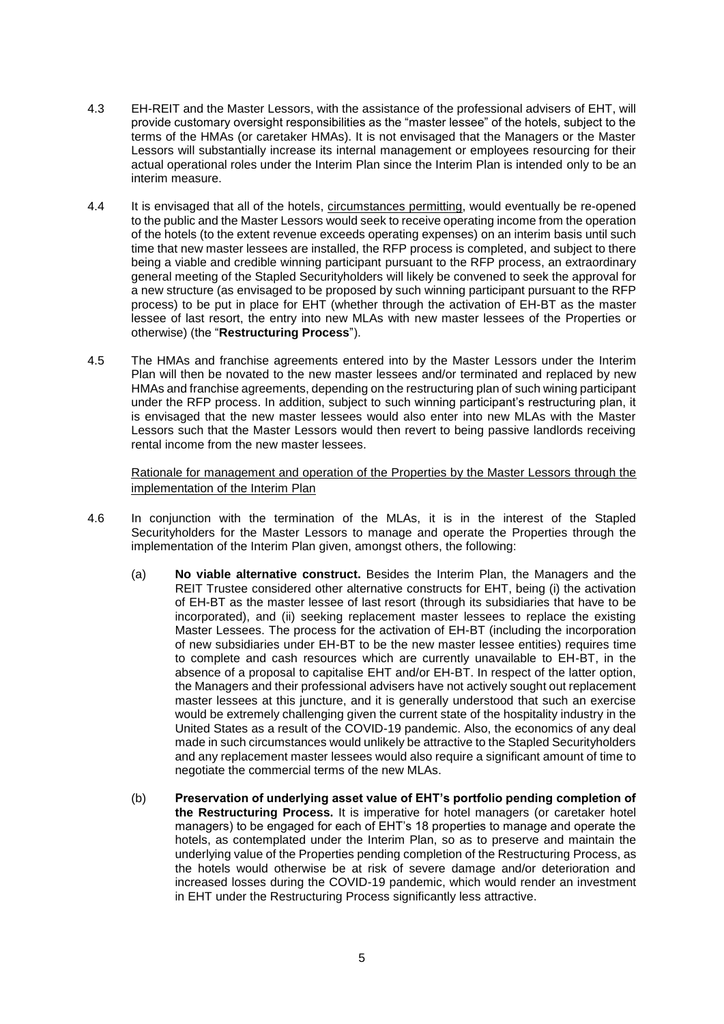- 4.3 EH-REIT and the Master Lessors, with the assistance of the professional advisers of EHT, will provide customary oversight responsibilities as the "master lessee" of the hotels, subject to the terms of the HMAs (or caretaker HMAs). It is not envisaged that the Managers or the Master Lessors will substantially increase its internal management or employees resourcing for their actual operational roles under the Interim Plan since the Interim Plan is intended only to be an interim measure.
- <span id="page-4-0"></span>4.4 It is envisaged that all of the hotels, circumstances permitting, would eventually be re-opened to the public and the Master Lessors would seek to receive operating income from the operation of the hotels (to the extent revenue exceeds operating expenses) on an interim basis until such time that new master lessees are installed, the RFP process is completed, and subject to there being a viable and credible winning participant pursuant to the RFP process, an extraordinary general meeting of the Stapled Securityholders will likely be convened to seek the approval for a new structure (as envisaged to be proposed by such winning participant pursuant to the RFP process) to be put in place for EHT (whether through the activation of EH-BT as the master lessee of last resort, the entry into new MLAs with new master lessees of the Properties or otherwise) (the "**Restructuring Process**").
- 4.5 The HMAs and franchise agreements entered into by the Master Lessors under the Interim Plan will then be novated to the new master lessees and/or terminated and replaced by new HMAs and franchise agreements, depending on the restructuring plan of such wining participant under the RFP process. In addition, subject to such winning participant's restructuring plan, it is envisaged that the new master lessees would also enter into new MLAs with the Master Lessors such that the Master Lessors would then revert to being passive landlords receiving rental income from the new master lessees.

Rationale for management and operation of the Properties by the Master Lessors through the implementation of the Interim Plan

- <span id="page-4-1"></span>4.6 In conjunction with the termination of the MLAs, it is in the interest of the Stapled Securityholders for the Master Lessors to manage and operate the Properties through the implementation of the Interim Plan given, amongst others, the following:
	- (a) **No viable alternative construct.** Besides the Interim Plan, the Managers and the REIT Trustee considered other alternative constructs for EHT, being (i) the activation of EH-BT as the master lessee of last resort (through its subsidiaries that have to be incorporated), and (ii) seeking replacement master lessees to replace the existing Master Lessees. The process for the activation of EH-BT (including the incorporation of new subsidiaries under EH-BT to be the new master lessee entities) requires time to complete and cash resources which are currently unavailable to EH-BT, in the absence of a proposal to capitalise EHT and/or EH-BT. In respect of the latter option, the Managers and their professional advisers have not actively sought out replacement master lessees at this juncture, and it is generally understood that such an exercise would be extremely challenging given the current state of the hospitality industry in the United States as a result of the COVID-19 pandemic. Also, the economics of any deal made in such circumstances would unlikely be attractive to the Stapled Securityholders and any replacement master lessees would also require a significant amount of time to negotiate the commercial terms of the new MLAs.
	- (b) **Preservation of underlying asset value of EHT's portfolio pending completion of the Restructuring Process.** It is imperative for hotel managers (or caretaker hotel managers) to be engaged for each of EHT's 18 properties to manage and operate the hotels, as contemplated under the Interim Plan, so as to preserve and maintain the underlying value of the Properties pending completion of the Restructuring Process, as the hotels would otherwise be at risk of severe damage and/or deterioration and increased losses during the COVID-19 pandemic, which would render an investment in EHT under the Restructuring Process significantly less attractive.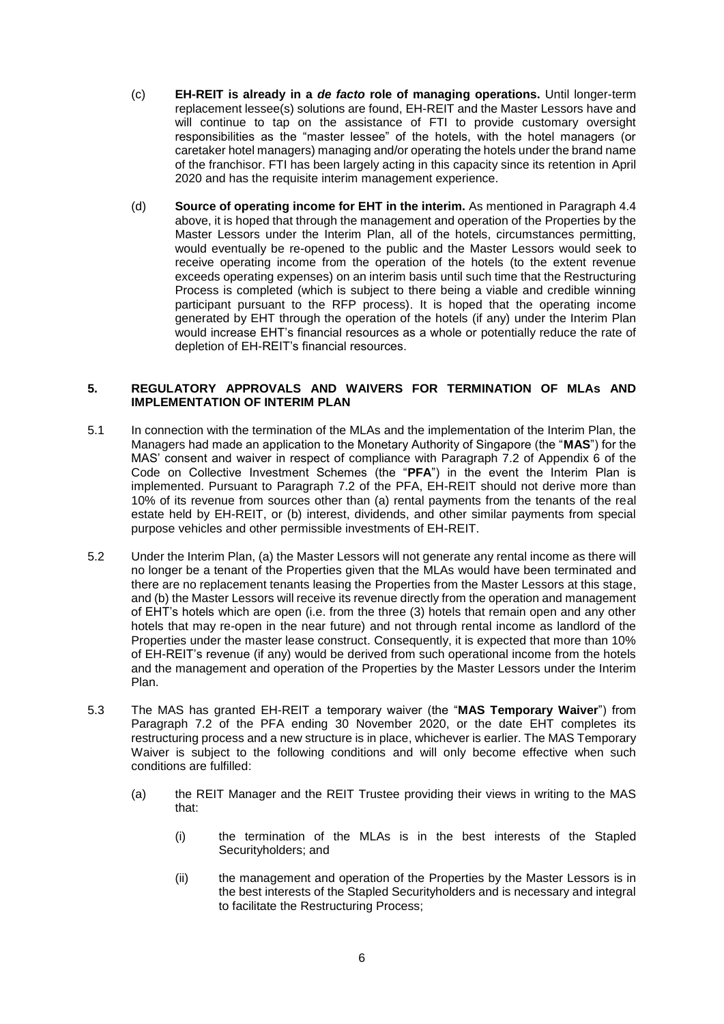- (c) **EH-REIT is already in a** *de facto* **role of managing operations.** Until longer-term replacement lessee(s) solutions are found, EH-REIT and the Master Lessors have and will continue to tap on the assistance of FTI to provide customary oversight responsibilities as the "master lessee" of the hotels, with the hotel managers (or caretaker hotel managers) managing and/or operating the hotels under the brand name of the franchisor. FTI has been largely acting in this capacity since its retention in April 2020 and has the requisite interim management experience.
- (d) **Source of operating income for EHT in the interim.** As mentioned in Paragraph [4.4](#page-4-0) above, it is hoped that through the management and operation of the Properties by the Master Lessors under the Interim Plan, all of the hotels, circumstances permitting, would eventually be re-opened to the public and the Master Lessors would seek to receive operating income from the operation of the hotels (to the extent revenue exceeds operating expenses) on an interim basis until such time that the Restructuring Process is completed (which is subject to there being a viable and credible winning participant pursuant to the RFP process). It is hoped that the operating income generated by EHT through the operation of the hotels (if any) under the Interim Plan would increase EHT's financial resources as a whole or potentially reduce the rate of depletion of EH-REIT's financial resources.

### **5. REGULATORY APPROVALS AND WAIVERS FOR TERMINATION OF MLAs AND IMPLEMENTATION OF INTERIM PLAN**

- 5.1 In connection with the termination of the MLAs and the implementation of the Interim Plan, the Managers had made an application to the Monetary Authority of Singapore (the "**MAS**") for the MAS' consent and waiver in respect of compliance with Paragraph 7.2 of Appendix 6 of the Code on Collective Investment Schemes (the "**PFA**") in the event the Interim Plan is implemented. Pursuant to Paragraph 7.2 of the PFA, EH-REIT should not derive more than 10% of its revenue from sources other than (a) rental payments from the tenants of the real estate held by EH-REIT, or (b) interest, dividends, and other similar payments from special purpose vehicles and other permissible investments of EH-REIT.
- 5.2 Under the Interim Plan, (a) the Master Lessors will not generate any rental income as there will no longer be a tenant of the Properties given that the MLAs would have been terminated and there are no replacement tenants leasing the Properties from the Master Lessors at this stage, and (b) the Master Lessors will receive its revenue directly from the operation and management of EHT's hotels which are open (i.e. from the three (3) hotels that remain open and any other hotels that may re-open in the near future) and not through rental income as landlord of the Properties under the master lease construct. Consequently, it is expected that more than 10% of EH-REIT's revenue (if any) would be derived from such operational income from the hotels and the management and operation of the Properties by the Master Lessors under the Interim Plan.
- <span id="page-5-1"></span><span id="page-5-0"></span>5.3 The MAS has granted EH-REIT a temporary waiver (the "**MAS Temporary Waiver**") from Paragraph 7.2 of the PFA ending 30 November 2020, or the date EHT completes its restructuring process and a new structure is in place, whichever is earlier. The MAS Temporary Waiver is subject to the following conditions and will only become effective when such conditions are fulfilled:
	- (a) the REIT Manager and the REIT Trustee providing their views in writing to the MAS that:
		- (i) the termination of the MLAs is in the best interests of the Stapled Securityholders; and
		- (ii) the management and operation of the Properties by the Master Lessors is in the best interests of the Stapled Securityholders and is necessary and integral to facilitate the Restructuring Process;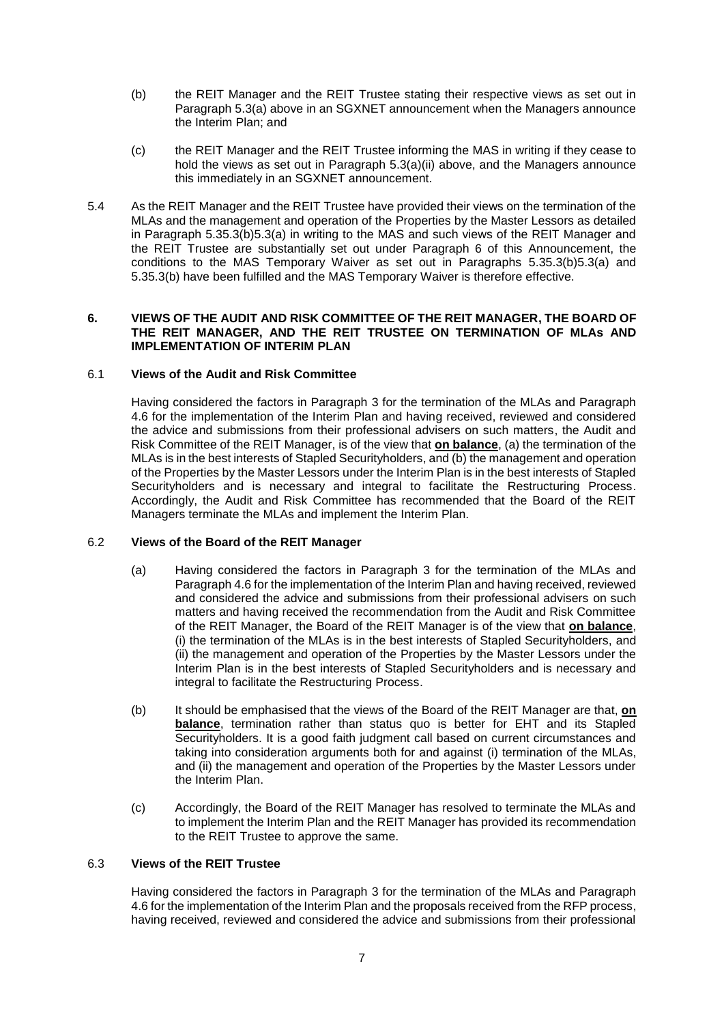- <span id="page-6-0"></span>(b) the REIT Manager and the REIT Trustee stating their respective views as set out in Paragraph [5.3\(a\)](#page-5-0) above in an SGXNET announcement when the Managers announce the Interim Plan; and
- (c) the REIT Manager and the REIT Trustee informing the MAS in writing if they cease to hold the views as set out in Paragraph [5.3\(a\)\(](#page-5-0)ii) above, and the Managers announce this immediately in an SGXNET announcement.
- 5.4 As the REIT Manager and the REIT Trustee have provided their views on the termination of the MLAs and the management and operation of the Properties by the Master Lessors as detailed in Paragraph [5.3](#page-5-1)[5.3\(b\)](#page-6-0)[5.3\(a\)](#page-5-0) in writing to the MAS and such views of the REIT Manager and the REIT Trustee are substantially set out under Paragraph 6 of this Announcement, the conditions to the MAS Temporary Waiver as set out in Paragraphs [5.3](#page-5-1)[5.3\(b\)](#page-6-0)[5.3\(a\)](#page-5-0) and [5.3](#page-5-1)[5.3\(b\)](#page-6-0) have been fulfilled and the MAS Temporary Waiver is therefore effective.

### **6. VIEWS OF THE AUDIT AND RISK COMMITTEE OF THE REIT MANAGER, THE BOARD OF THE REIT MANAGER, AND THE REIT TRUSTEE ON TERMINATION OF MLAs AND IMPLEMENTATION OF INTERIM PLAN**

## 6.1 **Views of the Audit and Risk Committee**

Having considered the factors in Paragraph [3](#page-1-0) for the termination of the MLAs and Paragraph [4.6](#page-4-1) for the implementation of the Interim Plan and having received, reviewed and considered the advice and submissions from their professional advisers on such matters, the Audit and Risk Committee of the REIT Manager, is of the view that **on balance**, (a) the termination of the MLAs is in the best interests of Stapled Securityholders, and (b) the management and operation of the Properties by the Master Lessors under the Interim Plan is in the best interests of Stapled Securityholders and is necessary and integral to facilitate the Restructuring Process. Accordingly, the Audit and Risk Committee has recommended that the Board of the REIT Managers terminate the MLAs and implement the Interim Plan.

## 6.2 **Views of the Board of the REIT Manager**

- (a) Having considered the factors in Paragraph [3](#page-1-0) for the termination of the MLAs and Paragraph [4.6](#page-4-1) for the implementation of the Interim Plan and having received, reviewed and considered the advice and submissions from their professional advisers on such matters and having received the recommendation from the Audit and Risk Committee of the REIT Manager, the Board of the REIT Manager is of the view that **on balance**, (i) the termination of the MLAs is in the best interests of Stapled Securityholders, and (ii) the management and operation of the Properties by the Master Lessors under the Interim Plan is in the best interests of Stapled Securityholders and is necessary and integral to facilitate the Restructuring Process.
- (b) It should be emphasised that the views of the Board of the REIT Manager are that, **on balance**, termination rather than status quo is better for EHT and its Stapled Securityholders. It is a good faith judgment call based on current circumstances and taking into consideration arguments both for and against (i) termination of the MLAs, and (ii) the management and operation of the Properties by the Master Lessors under the Interim Plan.
- (c) Accordingly, the Board of the REIT Manager has resolved to terminate the MLAs and to implement the Interim Plan and the REIT Manager has provided its recommendation to the REIT Trustee to approve the same.

#### 6.3 **Views of the REIT Trustee**

Having considered the factors in Paragraph [3](#page-1-0) for the termination of the MLAs and Paragraph [4.6](#page-4-1) for the implementation of the Interim Plan and the proposals received from the RFP process, having received, reviewed and considered the advice and submissions from their professional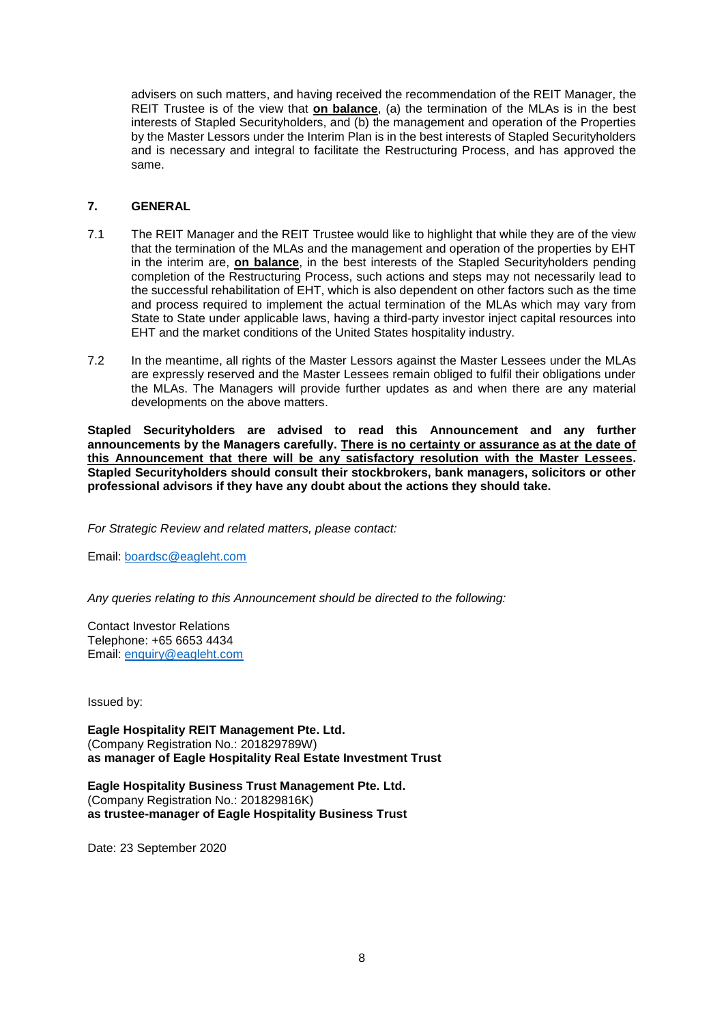advisers on such matters, and having received the recommendation of the REIT Manager, the REIT Trustee is of the view that **on balance**, (a) the termination of the MLAs is in the best interests of Stapled Securityholders, and (b) the management and operation of the Properties by the Master Lessors under the Interim Plan is in the best interests of Stapled Securityholders and is necessary and integral to facilitate the Restructuring Process, and has approved the same.

### **7. GENERAL**

- 7.1 The REIT Manager and the REIT Trustee would like to highlight that while they are of the view that the termination of the MLAs and the management and operation of the properties by EHT in the interim are, **on balance**, in the best interests of the Stapled Securityholders pending completion of the Restructuring Process, such actions and steps may not necessarily lead to the successful rehabilitation of EHT, which is also dependent on other factors such as the time and process required to implement the actual termination of the MLAs which may vary from State to State under applicable laws, having a third-party investor inject capital resources into EHT and the market conditions of the United States hospitality industry.
- 7.2 In the meantime, all rights of the Master Lessors against the Master Lessees under the MLAs are expressly reserved and the Master Lessees remain obliged to fulfil their obligations under the MLAs. The Managers will provide further updates as and when there are any material developments on the above matters.

**Stapled Securityholders are advised to read this Announcement and any further announcements by the Managers carefully. There is no certainty or assurance as at the date of this Announcement that there will be any satisfactory resolution with the Master Lessees. Stapled Securityholders should consult their stockbrokers, bank managers, solicitors or other professional advisors if they have any doubt about the actions they should take.**

*For Strategic Review and related matters, please contact:*

Email: [boardsc@eagleht.com](mailto:boardsc@eagleht.com)

*Any queries relating to this Announcement should be directed to the following:*

Contact Investor Relations Telephone: +65 6653 4434 Email: [enquiry@eagleht.com](mailto:enquiry@eagleht.com)

Issued by:

**Eagle Hospitality REIT Management Pte. Ltd.** (Company Registration No.: 201829789W) **as manager of Eagle Hospitality Real Estate Investment Trust**

**Eagle Hospitality Business Trust Management Pte. Ltd.** (Company Registration No.: 201829816K) **as trustee-manager of Eagle Hospitality Business Trust**

Date: 23 September 2020